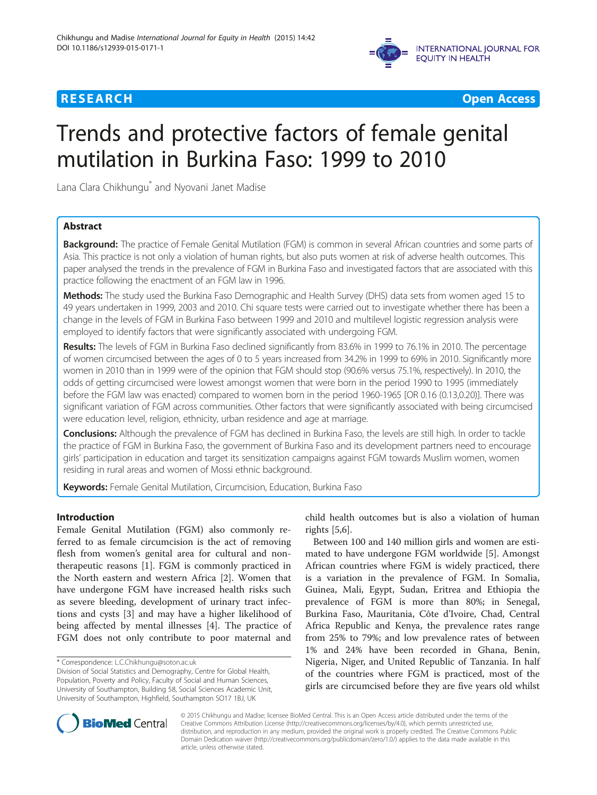



# Trends and protective factors of female genital mutilation in Burkina Faso: 1999 to 2010

Lana Clara Chikhungu\* and Nyovani Janet Madise

# Abstract

Background: The practice of Female Genital Mutilation (FGM) is common in several African countries and some parts of Asia. This practice is not only a violation of human rights, but also puts women at risk of adverse health outcomes. This paper analysed the trends in the prevalence of FGM in Burkina Faso and investigated factors that are associated with this practice following the enactment of an FGM law in 1996.

Methods: The study used the Burkina Faso Demographic and Health Survey (DHS) data sets from women aged 15 to 49 years undertaken in 1999, 2003 and 2010. Chi square tests were carried out to investigate whether there has been a change in the levels of FGM in Burkina Faso between 1999 and 2010 and multilevel logistic regression analysis were employed to identify factors that were significantly associated with undergoing FGM.

Results: The levels of FGM in Burkina Faso declined significantly from 83.6% in 1999 to 76.1% in 2010. The percentage of women circumcised between the ages of 0 to 5 years increased from 34.2% in 1999 to 69% in 2010. Significantly more women in 2010 than in 1999 were of the opinion that FGM should stop (90.6% versus 75.1%, respectively). In 2010, the odds of getting circumcised were lowest amongst women that were born in the period 1990 to 1995 (immediately before the FGM law was enacted) compared to women born in the period 1960-1965 [OR 0.16 (0.13,0.20)]. There was significant variation of FGM across communities. Other factors that were significantly associated with being circumcised were education level, religion, ethnicity, urban residence and age at marriage.

Conclusions: Although the prevalence of FGM has declined in Burkina Faso, the levels are still high. In order to tackle the practice of FGM in Burkina Faso, the government of Burkina Faso and its development partners need to encourage girls' participation in education and target its sensitization campaigns against FGM towards Muslim women, women residing in rural areas and women of Mossi ethnic background.

Keywords: Female Genital Mutilation, Circumcision, Education, Burkina Faso

# Introduction

Female Genital Mutilation (FGM) also commonly referred to as female circumcision is the act of removing flesh from women's genital area for cultural and nontherapeutic reasons [\[1](#page-8-0)]. FGM is commonly practiced in the North eastern and western Africa [\[2\]](#page-8-0). Women that have undergone FGM have increased health risks such as severe bleeding, development of urinary tract infections and cysts [\[3](#page-8-0)] and may have a higher likelihood of being affected by mental illnesses [\[4](#page-8-0)]. The practice of FGM does not only contribute to poor maternal and

child health outcomes but is also a violation of human rights [\[5,6](#page-8-0)].

Between 100 and 140 million girls and women are estimated to have undergone FGM worldwide [[5\]](#page-8-0). Amongst African countries where FGM is widely practiced, there is a variation in the prevalence of FGM. In Somalia, Guinea, Mali, Egypt, Sudan, Eritrea and Ethiopia the prevalence of FGM is more than 80%; in Senegal, Burkina Faso, Mauritania, Côte d'Ivoire, Chad, Central Africa Republic and Kenya, the prevalence rates range from 25% to 79%; and low prevalence rates of between 1% and 24% have been recorded in Ghana, Benin, Nigeria, Niger, and United Republic of Tanzania. In half of the countries where FGM is practiced, most of the girls are circumcised before they are five years old whilst



© 2015 Chikhungu and Madise; licensee BioMed Central. This is an Open Access article distributed under the terms of the Creative Commons Attribution License (<http://creativecommons.org/licenses/by/4.0>), which permits unrestricted use, distribution, and reproduction in any medium, provided the original work is properly credited. The Creative Commons Public Domain Dedication waiver [\(http://creativecommons.org/publicdomain/zero/1.0/\)](http://creativecommons.org/publicdomain/zero/1.0/) applies to the data made available in this article, unless otherwise stated.

<sup>\*</sup> Correspondence: [L.C.Chikhungu@soton.ac.uk](mailto:L.C.Chikhungu@soton.ac.uk)

Division of Social Statistics and Demography, Centre for Global Health, Population, Poverty and Policy, Faculty of Social and Human Sciences, University of Southampton, Building 58, Social Sciences Academic Unit, University of Southampton, Highfield, Southampton SO17 1BJ, UK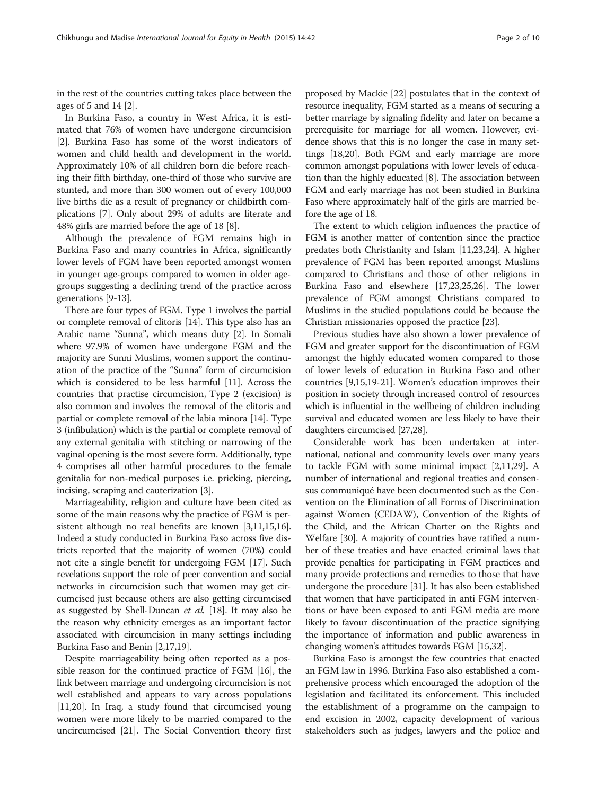in the rest of the countries cutting takes place between the ages of 5 and 14 [\[2\]](#page-8-0).

In Burkina Faso, a country in West Africa, it is estimated that 76% of women have undergone circumcision [[2\]](#page-8-0). Burkina Faso has some of the worst indicators of women and child health and development in the world. Approximately 10% of all children born die before reaching their fifth birthday, one-third of those who survive are stunted, and more than 300 women out of every 100,000 live births die as a result of pregnancy or childbirth complications [\[7](#page-8-0)]. Only about 29% of adults are literate and 48% girls are married before the age of 18 [[8\]](#page-8-0).

Although the prevalence of FGM remains high in Burkina Faso and many countries in Africa, significantly lower levels of FGM have been reported amongst women in younger age-groups compared to women in older agegroups suggesting a declining trend of the practice across generations [\[9](#page-8-0)-[13](#page-9-0)].

There are four types of FGM. Type 1 involves the partial or complete removal of clitoris [\[14](#page-9-0)]. This type also has an Arabic name "Sunna", which means duty [\[2\]](#page-8-0). In Somali where 97.9% of women have undergone FGM and the majority are Sunni Muslims, women support the continuation of the practice of the "Sunna" form of circumcision which is considered to be less harmful [\[11\]](#page-8-0). Across the countries that practise circumcision, Type 2 (excision) is also common and involves the removal of the clitoris and partial or complete removal of the labia minora [[14](#page-9-0)]. Type 3 (infibulation) which is the partial or complete removal of any external genitalia with stitching or narrowing of the vaginal opening is the most severe form. Additionally, type 4 comprises all other harmful procedures to the female genitalia for non-medical purposes i.e. pricking, piercing, incising, scraping and cauterization [\[3\]](#page-8-0).

Marriageability, religion and culture have been cited as some of the main reasons why the practice of FGM is persistent although no real benefits are known [\[3,11,](#page-8-0)[15,16](#page-9-0)]. Indeed a study conducted in Burkina Faso across five districts reported that the majority of women (70%) could not cite a single benefit for undergoing FGM [\[17\]](#page-9-0). Such revelations support the role of peer convention and social networks in circumcision such that women may get circumcised just because others are also getting circumcised as suggested by Shell-Duncan et al. [[18](#page-9-0)]. It may also be the reason why ethnicity emerges as an important factor associated with circumcision in many settings including Burkina Faso and Benin [[2,](#page-8-0)[17,19\]](#page-9-0).

Despite marriageability being often reported as a possible reason for the continued practice of FGM [\[16\]](#page-9-0), the link between marriage and undergoing circumcision is not well established and appears to vary across populations [[11](#page-8-0)[,20](#page-9-0)]. In Iraq, a study found that circumcised young women were more likely to be married compared to the uncircumcised [\[21\]](#page-9-0). The Social Convention theory first

proposed by Mackie [[22\]](#page-9-0) postulates that in the context of resource inequality, FGM started as a means of securing a better marriage by signaling fidelity and later on became a prerequisite for marriage for all women. However, evidence shows that this is no longer the case in many settings [\[18,20\]](#page-9-0). Both FGM and early marriage are more common amongst populations with lower levels of education than the highly educated [[8\]](#page-8-0). The association between FGM and early marriage has not been studied in Burkina Faso where approximately half of the girls are married before the age of 18.

The extent to which religion influences the practice of FGM is another matter of contention since the practice predates both Christianity and Islam [[11](#page-8-0)[,23,24\]](#page-9-0). A higher prevalence of FGM has been reported amongst Muslims compared to Christians and those of other religions in Burkina Faso and elsewhere [\[17,23,25,26](#page-9-0)]. The lower prevalence of FGM amongst Christians compared to Muslims in the studied populations could be because the Christian missionaries opposed the practice [\[23\]](#page-9-0).

Previous studies have also shown a lower prevalence of FGM and greater support for the discontinuation of FGM amongst the highly educated women compared to those of lower levels of education in Burkina Faso and other countries [[9,](#page-8-0)[15,19](#page-9-0)-[21](#page-9-0)]. Women's education improves their position in society through increased control of resources which is influential in the wellbeing of children including survival and educated women are less likely to have their daughters circumcised [\[27,28\]](#page-9-0).

Considerable work has been undertaken at international, national and community levels over many years to tackle FGM with some minimal impact [\[2,11](#page-8-0)[,29\]](#page-9-0). A number of international and regional treaties and consensus communiqué have been documented such as the Convention on the Elimination of all Forms of Discrimination against Women (CEDAW), Convention of the Rights of the Child, and the African Charter on the Rights and Welfare [\[30](#page-9-0)]. A majority of countries have ratified a number of these treaties and have enacted criminal laws that provide penalties for participating in FGM practices and many provide protections and remedies to those that have undergone the procedure [\[31\]](#page-9-0). It has also been established that women that have participated in anti FGM interventions or have been exposed to anti FGM media are more likely to favour discontinuation of the practice signifying the importance of information and public awareness in changing women's attitudes towards FGM [[15](#page-9-0),[32](#page-9-0)].

Burkina Faso is amongst the few countries that enacted an FGM law in 1996. Burkina Faso also established a comprehensive process which encouraged the adoption of the legislation and facilitated its enforcement. This included the establishment of a programme on the campaign to end excision in 2002, capacity development of various stakeholders such as judges, lawyers and the police and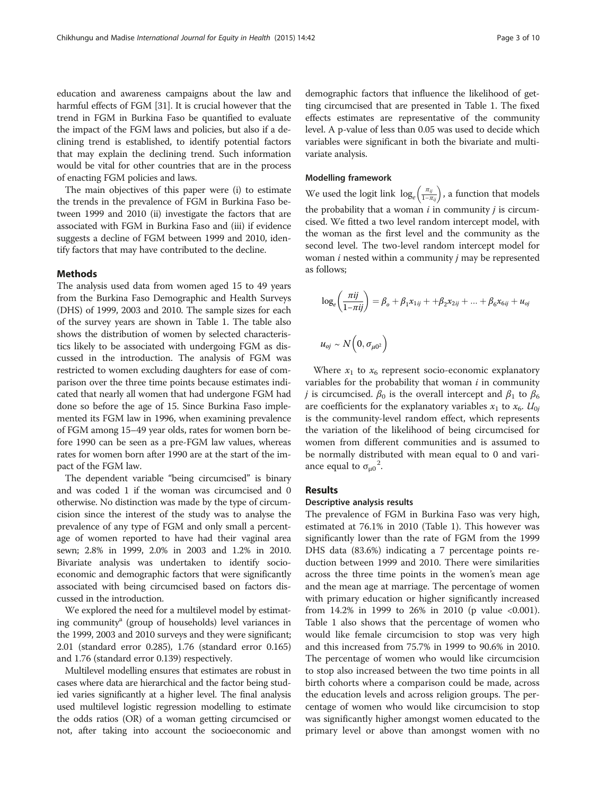education and awareness campaigns about the law and harmful effects of FGM [\[31](#page-9-0)]. It is crucial however that the trend in FGM in Burkina Faso be quantified to evaluate the impact of the FGM laws and policies, but also if a declining trend is established, to identify potential factors that may explain the declining trend. Such information would be vital for other countries that are in the process of enacting FGM policies and laws.

The main objectives of this paper were (i) to estimate the trends in the prevalence of FGM in Burkina Faso between 1999 and 2010 (ii) investigate the factors that are associated with FGM in Burkina Faso and (iii) if evidence suggests a decline of FGM between 1999 and 2010, identify factors that may have contributed to the decline.

#### Methods

The analysis used data from women aged 15 to 49 years from the Burkina Faso Demographic and Health Surveys (DHS) of 1999, 2003 and 2010. The sample sizes for each of the survey years are shown in Table [1](#page-3-0). The table also shows the distribution of women by selected characteristics likely to be associated with undergoing FGM as discussed in the introduction. The analysis of FGM was restricted to women excluding daughters for ease of comparison over the three time points because estimates indicated that nearly all women that had undergone FGM had done so before the age of 15. Since Burkina Faso implemented its FGM law in 1996, when examining prevalence of FGM among 15–49 year olds, rates for women born before 1990 can be seen as a pre-FGM law values, whereas rates for women born after 1990 are at the start of the impact of the FGM law.

The dependent variable "being circumcised" is binary and was coded 1 if the woman was circumcised and 0 otherwise. No distinction was made by the type of circumcision since the interest of the study was to analyse the prevalence of any type of FGM and only small a percentage of women reported to have had their vaginal area sewn; 2.8% in 1999, 2.0% in 2003 and 1.2% in 2010. Bivariate analysis was undertaken to identify socioeconomic and demographic factors that were significantly associated with being circumcised based on factors discussed in the introduction.

We explored the need for a multilevel model by estimating community<sup>a</sup> (group of households) level variances in the 1999, 2003 and 2010 surveys and they were significant; 2.01 (standard error 0.285), 1.76 (standard error 0.165) and 1.76 (standard error 0.139) respectively.

Multilevel modelling ensures that estimates are robust in cases where data are hierarchical and the factor being studied varies significantly at a higher level. The final analysis used multilevel logistic regression modelling to estimate the odds ratios (OR) of a woman getting circumcised or not, after taking into account the socioeconomic and demographic factors that influence the likelihood of getting circumcised that are presented in Table [1](#page-3-0). The fixed effects estimates are representative of the community level. A p-value of less than 0.05 was used to decide which variables were significant in both the bivariate and multivariate analysis.

#### Modelling framework

We used the logit link  $\log_e\left(\frac{\pi_{ij}}{1-\pi_{ij}}\right)$ , a function that models the probability that a woman  $i$  in community  $j$  is circumcised. We fitted a two level random intercept model, with the woman as the first level and the community as the second level. The two-level random intercept model for woman  $i$  nested within a community  $j$  may be represented as follows;

$$
log_e\left(\frac{\pi ij}{1-\pi ij}\right) = \beta_o + \beta_1 x_{1ij} + \beta_2 x_{2ij} + \dots + \beta_6 x_{6ij} + u_{oj}
$$
  

$$
u_{oj} \sim N\left(0, \sigma_{\mu 0^2}\right)
$$

Where  $x_1$  to  $x_6$  represent socio-economic explanatory variables for the probability that woman  $i$  in community *j* is circumcised.  $\beta_0$  is the overall intercept and  $\beta_1$  to  $\beta_6$ are coefficients for the explanatory variables  $x_1$  to  $x_6$ .  $U_{0j}$ is the community-level random effect, which represents the variation of the likelihood of being circumcised for women from different communities and is assumed to be normally distributed with mean equal to 0 and variance equal to  $\sigma_{\mu 0}^2$ .

# Results

#### Descriptive analysis results

The prevalence of FGM in Burkina Faso was very high, estimated at 76.1% in 2010 (Table [1\)](#page-3-0). This however was significantly lower than the rate of FGM from the 1999 DHS data (83.6%) indicating a 7 percentage points reduction between 1999 and 2010. There were similarities across the three time points in the women's mean age and the mean age at marriage. The percentage of women with primary education or higher significantly increased from 14.2% in 1999 to 26% in 2010 (p value <0.001). Table [1](#page-3-0) also shows that the percentage of women who would like female circumcision to stop was very high and this increased from 75.7% in 1999 to 90.6% in 2010. The percentage of women who would like circumcision to stop also increased between the two time points in all birth cohorts where a comparison could be made, across the education levels and across religion groups. The percentage of women who would like circumcision to stop was significantly higher amongst women educated to the primary level or above than amongst women with no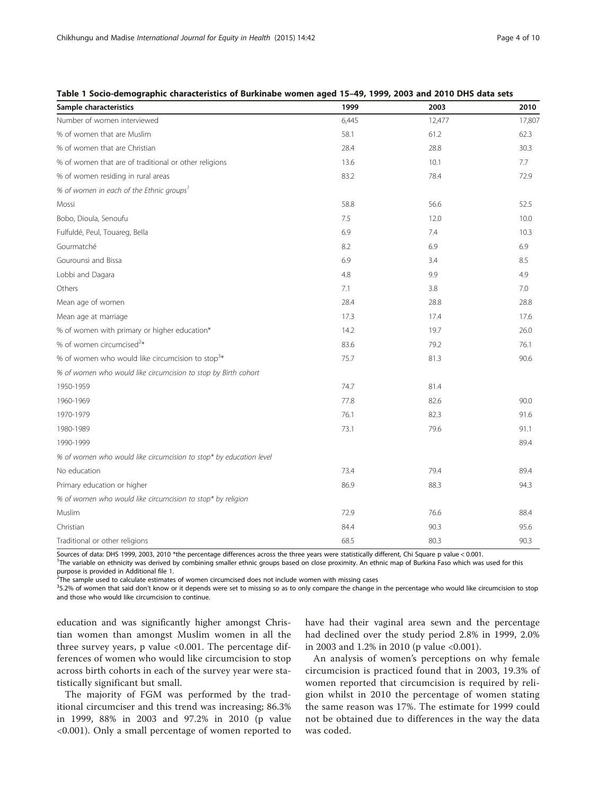| Sample characteristics                                             | 1999  | 2003   | 2010   |
|--------------------------------------------------------------------|-------|--------|--------|
| Number of women interviewed                                        | 6,445 | 12,477 | 17,807 |
| % of women that are Muslim                                         | 58.1  | 61.2   | 62.3   |
| % of women that are Christian                                      | 28.4  | 28.8   | 30.3   |
| % of women that are of traditional or other religions              | 13.6  | 10.1   | 7.7    |
| % of women residing in rural areas                                 | 83.2  | 78.4   | 72.9   |
| % of women in each of the Ethnic groups <sup>1</sup>               |       |        |        |
| Mossi                                                              | 58.8  | 56.6   | 52.5   |
| Bobo, Dioula, Senoufu                                              | 7.5   | 12.0   | 10.0   |
| Fulfuldé, Peul, Touareg, Bella                                     | 6.9   | 7.4    | 10.3   |
| Gourmatché                                                         | 8.2   | 6.9    | 6.9    |
| Gourounsi and Bissa                                                | 6.9   | 3.4    | 8.5    |
| Lobbi and Dagara                                                   | 4.8   | 9.9    | 4.9    |
| Others                                                             | 7.1   | 3.8    | 7.0    |
| Mean age of women                                                  | 28.4  | 28.8   | 28.8   |
| Mean age at marriage                                               | 17.3  | 17.4   | 17.6   |
| % of women with primary or higher education*                       | 14.2  | 19.7   | 26.0   |
| % of women circumcised <sup>2*</sup>                               | 83.6  | 79.2   | 76.1   |
| % of women who would like circumcision to stop <sup>3*</sup>       | 75.7  | 81.3   | 90.6   |
| % of women who would like circumcision to stop by Birth cohort     |       |        |        |
| 1950-1959                                                          | 74.7  | 81.4   |        |
| 1960-1969                                                          | 77.8  | 82.6   | 90.0   |
| 1970-1979                                                          | 76.1  | 82.3   | 91.6   |
| 1980-1989                                                          | 73.1  | 79.6   | 91.1   |
| 1990-1999                                                          |       |        | 89.4   |
| % of women who would like circumcision to stop* by education level |       |        |        |
| No education                                                       | 73.4  | 79.4   | 89.4   |
| Primary education or higher                                        | 86.9  | 88.3   | 94.3   |
| % of women who would like circumcision to stop* by religion        |       |        |        |
| Muslim                                                             | 72.9  | 76.6   | 88.4   |
| Christian                                                          | 84.4  | 90.3   | 95.6   |
| Traditional or other religions                                     | 68.5  | 80.3   | 90.3   |

#### <span id="page-3-0"></span>Table 1 Socio-demographic characteristics of Burkinabe women aged 15–49, 1999, 2003 and 2010 DHS data sets

Sources of data: DHS 1999, 2003, 2010 \*the percentage differences across the three years were statistically different, Chi Square p value < 0.001.

<sup>1</sup>The variable on ethnicity was derived by combining smaller ethnic groups based on close proximity. An ethnic map of Burkina Faso which was used for this purpose is provided in Additional file [1](#page-8-0).

 $2$ The sample used to calculate estimates of women circumcised does not include women with missing cases

<sup>3</sup>5.2% of women that said don't know or it depends were set to missing so as to only compare the change in the percentage who would like circumcision to stop and those who would like circumcision to continue.

education and was significantly higher amongst Christian women than amongst Muslim women in all the three survey years, p value <0.001. The percentage differences of women who would like circumcision to stop across birth cohorts in each of the survey year were statistically significant but small.

The majority of FGM was performed by the traditional circumciser and this trend was increasing; 86.3% in 1999, 88% in 2003 and 97.2% in 2010 (p value <0.001). Only a small percentage of women reported to have had their vaginal area sewn and the percentage had declined over the study period 2.8% in 1999, 2.0% in 2003 and 1.2% in 2010 (p value <0.001).

An analysis of women's perceptions on why female circumcision is practiced found that in 2003, 19.3% of women reported that circumcision is required by religion whilst in 2010 the percentage of women stating the same reason was 17%. The estimate for 1999 could not be obtained due to differences in the way the data was coded.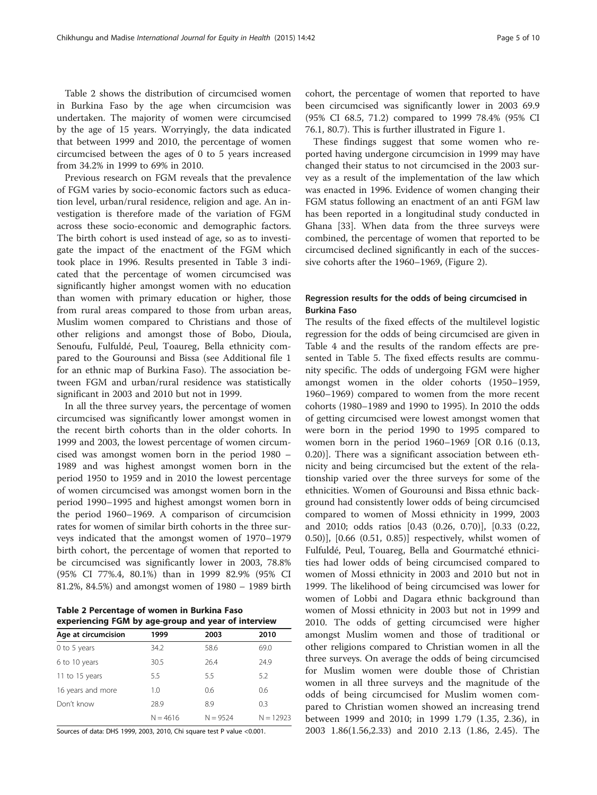Table 2 shows the distribution of circumcised women in Burkina Faso by the age when circumcision was undertaken. The majority of women were circumcised by the age of 15 years. Worryingly, the data indicated that between 1999 and 2010, the percentage of women circumcised between the ages of 0 to 5 years increased from 34.2% in 1999 to 69% in 2010.

Previous research on FGM reveals that the prevalence of FGM varies by socio-economic factors such as education level, urban/rural residence, religion and age. An investigation is therefore made of the variation of FGM across these socio-economic and demographic factors. The birth cohort is used instead of age, so as to investigate the impact of the enactment of the FGM which took place in 1996. Results presented in Table [3](#page-5-0) indicated that the percentage of women circumcised was significantly higher amongst women with no education than women with primary education or higher, those from rural areas compared to those from urban areas, Muslim women compared to Christians and those of other religions and amongst those of Bobo, Dioula, Senoufu, Fulfuldé, Peul, Toaureg, Bella ethnicity compared to the Gourounsi and Bissa (see Additional file [1](#page-8-0) for an ethnic map of Burkina Faso). The association between FGM and urban/rural residence was statistically significant in 2003 and 2010 but not in 1999.

In all the three survey years, the percentage of women circumcised was significantly lower amongst women in the recent birth cohorts than in the older cohorts. In 1999 and 2003, the lowest percentage of women circumcised was amongst women born in the period 1980 – 1989 and was highest amongst women born in the period 1950 to 1959 and in 2010 the lowest percentage of women circumcised was amongst women born in the period 1990–1995 and highest amongst women born in the period 1960–1969. A comparison of circumcision rates for women of similar birth cohorts in the three surveys indicated that the amongst women of 1970–1979 birth cohort, the percentage of women that reported to be circumcised was significantly lower in 2003, 78.8% (95% CI 77%.4, 80.1%) than in 1999 82.9% (95% CI 81.2%, 84.5%) and amongst women of 1980 – 1989 birth

Table 2 Percentage of women in Burkina Faso experiencing FGM by age-group and year of interview

| Age at circumcision | 1999       | 2003       | 2010        |
|---------------------|------------|------------|-------------|
| 0 to 5 years        | 34.2       | 58.6       | 69.0        |
| 6 to 10 years       | 30.5       | 26.4       | 24.9        |
| 11 to 15 years      | 5.5        | 5.5        | 5.2         |
| 16 years and more   | 1.0        | 0.6        | 0.6         |
| Don't know          | 28.9       | 8.9        | 0.3         |
|                     | $N = 4616$ | $N = 9524$ | $N = 12923$ |

Sources of data: DHS 1999, 2003, 2010, Chi square test P value <0.001.

cohort, the percentage of women that reported to have been circumcised was significantly lower in 2003 69.9 (95% CI 68.5, 71.2) compared to 1999 78.4% (95% CI 76.1, 80.7). This is further illustrated in Figure [1.](#page-6-0)

These findings suggest that some women who reported having undergone circumcision in 1999 may have changed their status to not circumcised in the 2003 survey as a result of the implementation of the law which was enacted in 1996. Evidence of women changing their FGM status following an enactment of an anti FGM law has been reported in a longitudinal study conducted in Ghana [\[33\]](#page-9-0). When data from the three surveys were combined, the percentage of women that reported to be circumcised declined significantly in each of the successive cohorts after the 1960–1969, (Figure [2\)](#page-6-0).

# Regression results for the odds of being circumcised in Burkina Faso

The results of the fixed effects of the multilevel logistic regression for the odds of being circumcised are given in Table [4](#page-7-0) and the results of the random effects are presented in Table [5](#page-7-0). The fixed effects results are community specific. The odds of undergoing FGM were higher amongst women in the older cohorts (1950–1959, 1960–1969) compared to women from the more recent cohorts (1980–1989 and 1990 to 1995). In 2010 the odds of getting circumcised were lowest amongst women that were born in the period 1990 to 1995 compared to women born in the period 1960–1969 [OR 0.16 (0.13, 0.20)]. There was a significant association between ethnicity and being circumcised but the extent of the relationship varied over the three surveys for some of the ethnicities. Women of Gourounsi and Bissa ethnic background had consistently lower odds of being circumcised compared to women of Mossi ethnicity in 1999, 2003 and 2010; odds ratios [0.43 (0.26, 0.70)], [0.33 (0.22, 0.50)], [0.66 (0.51, 0.85)] respectively, whilst women of Fulfuldé, Peul, Touareg, Bella and Gourmatché ethnicities had lower odds of being circumcised compared to women of Mossi ethnicity in 2003 and 2010 but not in 1999. The likelihood of being circumcised was lower for women of Lobbi and Dagara ethnic background than women of Mossi ethnicity in 2003 but not in 1999 and 2010. The odds of getting circumcised were higher amongst Muslim women and those of traditional or other religions compared to Christian women in all the three surveys. On average the odds of being circumcised for Muslim women were double those of Christian women in all three surveys and the magnitude of the odds of being circumcised for Muslim women compared to Christian women showed an increasing trend between 1999 and 2010; in 1999 1.79 (1.35, 2.36), in 2003 1.86(1.56,2.33) and 2010 2.13 (1.86, 2.45). The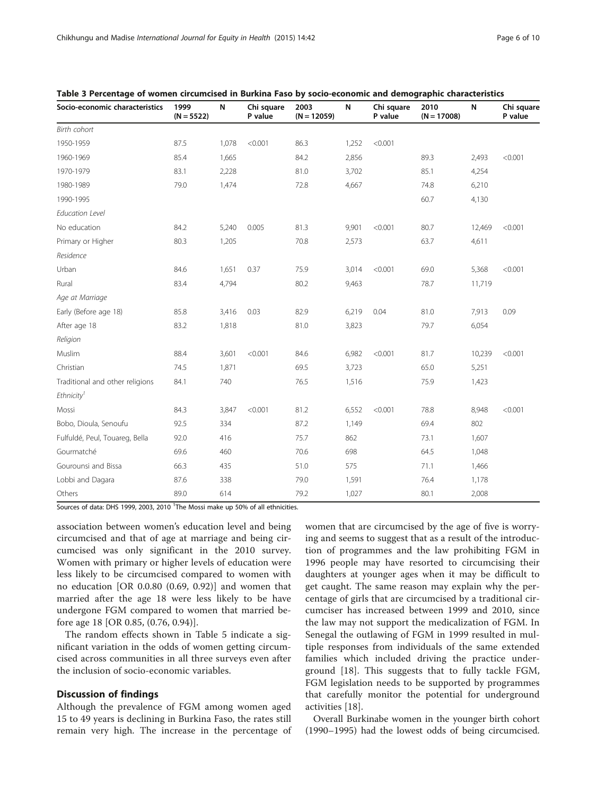| Socio-economic characteristics  | 1999<br>$(N = 5522)$ | N     | Chi square<br>P value | 2003<br>$(N = 12059)$ | N     | Chi square<br>P value | 2010<br>$(N = 17008)$ | N      | Chi square<br>P value |
|---------------------------------|----------------------|-------|-----------------------|-----------------------|-------|-----------------------|-----------------------|--------|-----------------------|
| <b>Birth cohort</b>             |                      |       |                       |                       |       |                       |                       |        |                       |
| 1950-1959                       | 87.5                 | 1,078 | < 0.001               | 86.3                  | 1,252 | < 0.001               |                       |        |                       |
| 1960-1969                       | 85.4                 | 1,665 |                       | 84.2                  | 2,856 |                       | 89.3                  | 2,493  | < 0.001               |
| 1970-1979                       | 83.1                 | 2,228 |                       | 81.0                  | 3,702 |                       | 85.1                  | 4,254  |                       |
| 1980-1989                       | 79.0                 | 1,474 |                       | 72.8                  | 4,667 |                       | 74.8                  | 6,210  |                       |
| 1990-1995                       |                      |       |                       |                       |       |                       | 60.7                  | 4,130  |                       |
| <b>Education Level</b>          |                      |       |                       |                       |       |                       |                       |        |                       |
| No education                    | 84.2                 | 5,240 | 0.005                 | 81.3                  | 9,901 | < 0.001               | 80.7                  | 12,469 | < 0.001               |
| Primary or Higher               | 80.3                 | 1,205 |                       | 70.8                  | 2,573 |                       | 63.7                  | 4,611  |                       |
| Residence                       |                      |       |                       |                       |       |                       |                       |        |                       |
| Urban                           | 84.6                 | 1,651 | 0.37                  | 75.9                  | 3,014 | < 0.001               | 69.0                  | 5,368  | < 0.001               |
| Rural                           | 83.4                 | 4,794 |                       | 80.2                  | 9,463 |                       | 78.7                  | 11,719 |                       |
| Age at Marriage                 |                      |       |                       |                       |       |                       |                       |        |                       |
| Early (Before age 18)           | 85.8                 | 3,416 | 0.03                  | 82.9                  | 6,219 | 0.04                  | 81.0                  | 7,913  | 0.09                  |
| After age 18                    | 83.2                 | 1,818 |                       | 81.0                  | 3,823 |                       | 79.7                  | 6,054  |                       |
| Religion                        |                      |       |                       |                       |       |                       |                       |        |                       |
| Muslim                          | 88.4                 | 3,601 | < 0.001               | 84.6                  | 6,982 | < 0.001               | 81.7                  | 10,239 | < 0.001               |
| Christian                       | 74.5                 | 1,871 |                       | 69.5                  | 3,723 |                       | 65.0                  | 5,251  |                       |
| Traditional and other religions | 84.1                 | 740   |                       | 76.5                  | 1,516 |                       | 75.9                  | 1,423  |                       |
| Ethnicity <sup>1</sup>          |                      |       |                       |                       |       |                       |                       |        |                       |
| Mossi                           | 84.3                 | 3,847 | < 0.001               | 81.2                  | 6,552 | < 0.001               | 78.8                  | 8,948  | < 0.001               |
| Bobo, Dioula, Senoufu           | 92.5                 | 334   |                       | 87.2                  | 1,149 |                       | 69.4                  | 802    |                       |
| Fulfuldé, Peul, Touareg, Bella  | 92.0                 | 416   |                       | 75.7                  | 862   |                       | 73.1                  | 1,607  |                       |
| Gourmatché                      | 69.6                 | 460   |                       | 70.6                  | 698   |                       | 64.5                  | 1,048  |                       |
| Gourounsi and Bissa             | 66.3                 | 435   |                       | 51.0                  | 575   |                       | 71.1                  | 1,466  |                       |
| Lobbi and Dagara                | 87.6                 | 338   |                       | 79.0                  | 1,591 |                       | 76.4                  | 1,178  |                       |
| Others                          | 89.0                 | 614   |                       | 79.2                  | 1,027 |                       | 80.1                  | 2,008  |                       |

<span id="page-5-0"></span>

Sources of data: DHS 1999, 2003, 2010 <sup>1</sup>The Mossi make up 50% of all ethnicities.

association between women's education level and being circumcised and that of age at marriage and being circumcised was only significant in the 2010 survey. Women with primary or higher levels of education were less likely to be circumcised compared to women with no education [OR 0.0.80 (0.69, 0.92)] and women that married after the age 18 were less likely to be have undergone FGM compared to women that married before age 18 [OR 0.85, (0.76, 0.94)].

The random effects shown in Table [5](#page-7-0) indicate a significant variation in the odds of women getting circumcised across communities in all three surveys even after the inclusion of socio-economic variables.

# Discussion of findings

Although the prevalence of FGM among women aged 15 to 49 years is declining in Burkina Faso, the rates still remain very high. The increase in the percentage of women that are circumcised by the age of five is worrying and seems to suggest that as a result of the introduction of programmes and the law prohibiting FGM in 1996 people may have resorted to circumcising their daughters at younger ages when it may be difficult to get caught. The same reason may explain why the percentage of girls that are circumcised by a traditional circumciser has increased between 1999 and 2010, since the law may not support the medicalization of FGM. In Senegal the outlawing of FGM in 1999 resulted in multiple responses from individuals of the same extended families which included driving the practice underground [\[18](#page-9-0)]. This suggests that to fully tackle FGM, FGM legislation needs to be supported by programmes that carefully monitor the potential for underground activities [[18\]](#page-9-0).

Overall Burkinabe women in the younger birth cohort (1990–1995) had the lowest odds of being circumcised.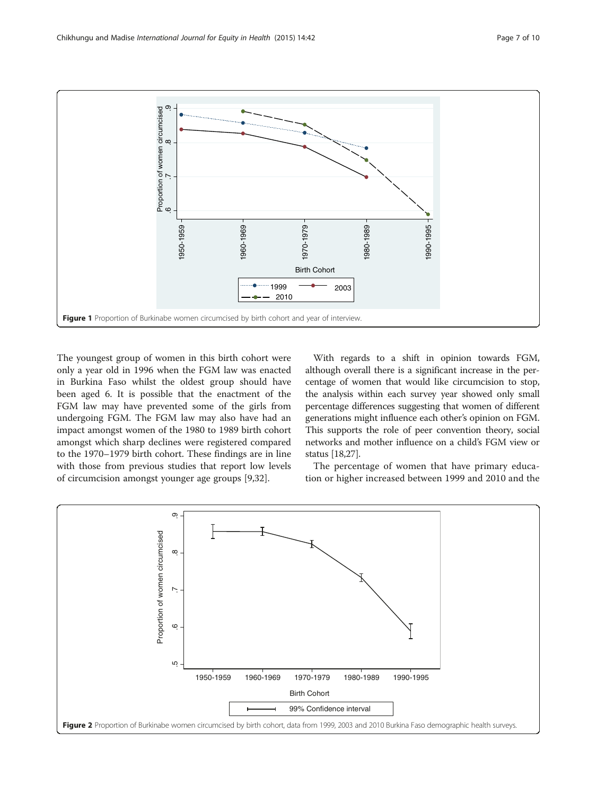<span id="page-6-0"></span>

The youngest group of women in this birth cohort were only a year old in 1996 when the FGM law was enacted in Burkina Faso whilst the oldest group should have been aged 6. It is possible that the enactment of the FGM law may have prevented some of the girls from undergoing FGM. The FGM law may also have had an impact amongst women of the 1980 to 1989 birth cohort amongst which sharp declines were registered compared to the 1970–1979 birth cohort. These findings are in line with those from previous studies that report low levels of circumcision amongst younger age groups [[9,](#page-8-0)[32\]](#page-9-0).

With regards to a shift in opinion towards FGM, although overall there is a significant increase in the percentage of women that would like circumcision to stop, the analysis within each survey year showed only small percentage differences suggesting that women of different generations might influence each other's opinion on FGM. This supports the role of peer convention theory, social networks and mother influence on a child's FGM view or status [\[18,27\]](#page-9-0).

The percentage of women that have primary education or higher increased between 1999 and 2010 and the

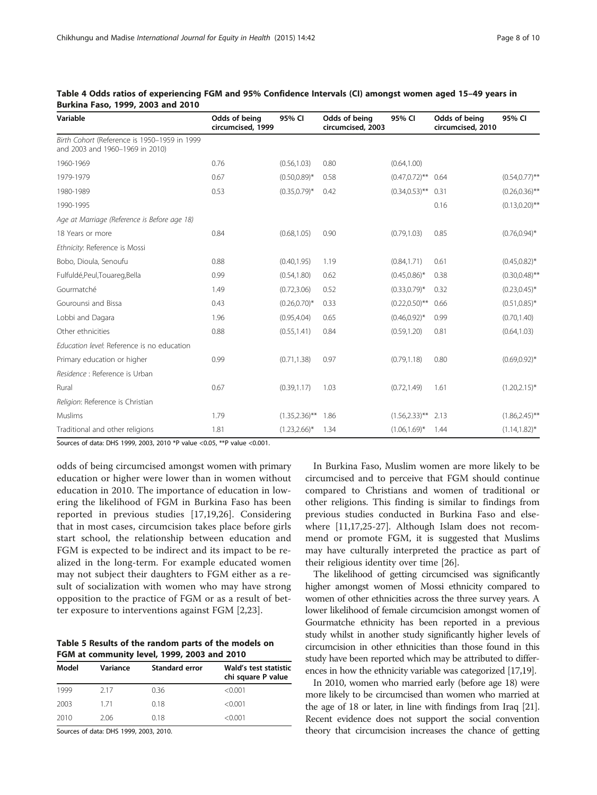| Variable                                                                        | Odds of being<br>circumcised, 1999 | 95% CI            | Odds of being<br>circumcised, 2003 | 95% CI            | Odds of being<br>circumcised, 2010 | 95% CI            |  |
|---------------------------------------------------------------------------------|------------------------------------|-------------------|------------------------------------|-------------------|------------------------------------|-------------------|--|
| Birth Cohort (Reference is 1950-1959 in 1999<br>and 2003 and 1960-1969 in 2010) |                                    |                   |                                    |                   |                                    |                   |  |
| 1960-1969                                                                       | 0.76                               | (0.56, 1.03)      | 0.80                               | (0.64, 1.00)      |                                    |                   |  |
| 1979-1979                                                                       | 0.67                               | $(0.50, 0.89)^*$  | 0.58                               | $(0.47, 0.72)$ ** | 0.64                               | $(0.54, 0.77)$ ** |  |
| 1980-1989                                                                       | 0.53                               | $(0.35, 0.79)^*$  | 0.42                               | $(0.34, 0.53)$ ** | 0.31                               | $(0.26, 0.36)$ ** |  |
| 1990-1995                                                                       |                                    |                   |                                    |                   | 0.16                               | $(0.13, 0.20)$ ** |  |
| Age at Marriage (Reference is Before age 18)                                    |                                    |                   |                                    |                   |                                    |                   |  |
| 18 Years or more                                                                | 0.84                               | (0.68, 1.05)      | 0.90                               | (0.79, 1.03)      | 0.85                               | $(0.76, 0.94)^*$  |  |
| Ethnicity: Reference is Mossi                                                   |                                    |                   |                                    |                   |                                    |                   |  |
| Bobo, Dioula, Senoufu                                                           | 0.88                               | (0.40, 1.95)      | 1.19                               | (0.84, 1.71)      | 0.61                               | $(0.45, 0.82)^*$  |  |
| Fulfuldé, Peul, Touareg, Bella                                                  | 0.99                               | (0.54, 1.80)      | 0.62                               | $(0.45, 0.86)^*$  | 0.38                               | $(0.30, 0.48)$ ** |  |
| Gourmatché                                                                      | 1.49                               | (0.72, 3.06)      | 0.52                               | $(0.33, 0.79)^*$  | 0.32                               | $(0.23, 0.45)^*$  |  |
| Gourounsi and Bissa                                                             | 0.43                               | $(0.26, 0.70)$ *  | 0.33                               | $(0.22, 0.50)$ ** | 0.66                               | $(0.51, 0.85)^*$  |  |
| Lobbi and Dagara                                                                | 1.96                               | (0.95, 4.04)      | 0.65                               | $(0.46, 0.92)^*$  | 0.99                               | (0.70, 1.40)      |  |
| Other ethnicities                                                               | 0.88                               | (0.55, 1.41)      | 0.84                               | (0.59, 1.20)      | 0.81                               | (0.64, 1.03)      |  |
| Education level: Reference is no education                                      |                                    |                   |                                    |                   |                                    |                   |  |
| Primary education or higher                                                     | 0.99                               | (0.71, 1.38)      | 0.97                               | (0.79, 1.18)      | 0.80                               | $(0.69, 0.92)^*$  |  |
| Residence : Reference is Urban                                                  |                                    |                   |                                    |                   |                                    |                   |  |
| Rural                                                                           | 0.67                               | (0.39, 1.17)      | 1.03                               | (0.72, 1.49)      | 1.61                               | $(1.20, 2.15)^*$  |  |
| Religion: Reference is Christian                                                |                                    |                   |                                    |                   |                                    |                   |  |
| Muslims                                                                         | 1.79                               | $(1.35, 2.36)$ ** | 1.86                               | $(1.56, 2.33)$ ** | 2.13                               | $(1.86, 2.45)$ ** |  |
| Traditional and other religions                                                 | 1.81                               | $(1.23, 2.66)^*$  | 1.34                               | $(1.06, 1.69)^*$  | 1.44                               | $(1.14, 1.82)^*$  |  |

<span id="page-7-0"></span>

|  |                                   |  | Table 4 Odds ratios of experiencing FGM and 95% Confidence Intervals (CI) amongst women aged 15–49 years in |  |  |  |  |
|--|-----------------------------------|--|-------------------------------------------------------------------------------------------------------------|--|--|--|--|
|  | Burkina Faso, 1999, 2003 and 2010 |  |                                                                                                             |  |  |  |  |

Sources of data: DHS 1999, 2003, 2010 \*P value <0.05, \*\*P value <0.001.

odds of being circumcised amongst women with primary education or higher were lower than in women without education in 2010. The importance of education in lowering the likelihood of FGM in Burkina Faso has been reported in previous studies [[17,19,26](#page-9-0)]. Considering that in most cases, circumcision takes place before girls start school, the relationship between education and FGM is expected to be indirect and its impact to be realized in the long-term. For example educated women may not subject their daughters to FGM either as a result of socialization with women who may have strong opposition to the practice of FGM or as a result of better exposure to interventions against FGM [\[2](#page-8-0),[23\]](#page-9-0).

Table 5 Results of the random parts of the models on FGM at community level, 1999, 2003 and 2010

| Model | Variance | <b>Standard error</b> | Wald's test statistic<br>chi square P value |
|-------|----------|-----------------------|---------------------------------------------|
| 1999  | 217      | 0.36                  | < 0.001                                     |
| 2003  | 171      | 0.18                  | < 0.001                                     |
| 2010  | 2.06     | 0.18                  | < 0.001                                     |

Sources of data: DHS 1999, 2003, 2010.

In Burkina Faso, Muslim women are more likely to be circumcised and to perceive that FGM should continue compared to Christians and women of traditional or other religions. This finding is similar to findings from previous studies conducted in Burkina Faso and elsewhere [[11,](#page-8-0)[17,25-27\]](#page-9-0). Although Islam does not recommend or promote FGM, it is suggested that Muslims may have culturally interpreted the practice as part of their religious identity over time [\[26](#page-9-0)].

The likelihood of getting circumcised was significantly higher amongst women of Mossi ethnicity compared to women of other ethnicities across the three survey years. A lower likelihood of female circumcision amongst women of Gourmatche ethnicity has been reported in a previous study whilst in another study significantly higher levels of circumcision in other ethnicities than those found in this study have been reported which may be attributed to differences in how the ethnicity variable was categorized [\[17,19](#page-9-0)].

In 2010, women who married early (before age 18) were more likely to be circumcised than women who married at the age of 18 or later, in line with findings from Iraq [\[21](#page-9-0)]. Recent evidence does not support the social convention theory that circumcision increases the chance of getting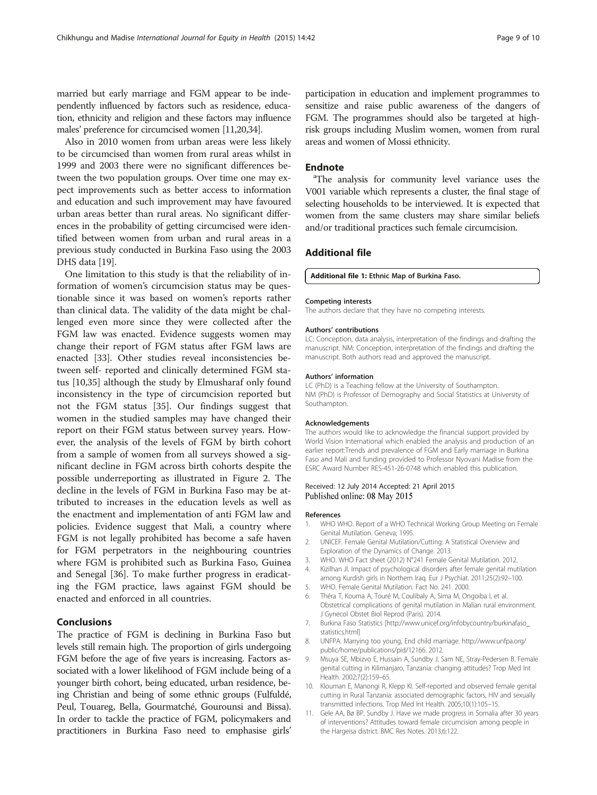<span id="page-8-0"></span>married but early marriage and FGM appear to be independently influenced by factors such as residence, education, ethnicity and religion and these factors may influence males' preference for circumcised women [11[,20,34](#page-9-0)].

Also in 2010 women from urban areas were less likely to be circumcised than women from rural areas whilst in 1999 and 2003 there were no significant differences between the two population groups. Over time one may expect improvements such as better access to information and education and such improvement may have favoured urban areas better than rural areas. No significant differences in the probability of getting circumcised were identified between women from urban and rural areas in a previous study conducted in Burkina Faso using the 2003 DHS data [\[19](#page-9-0)].

One limitation to this study is that the reliability of information of women's circumcision status may be questionable since it was based on women's reports rather than clinical data. The validity of the data might be challenged even more since they were collected after the FGM law was enacted. Evidence suggests women may change their report of FGM status after FGM laws are enacted [[33\]](#page-9-0). Other studies reveal inconsistencies between self- reported and clinically determined FGM status [10[,35](#page-9-0)] although the study by Elmusharaf only found inconsistency in the type of circumcision reported but not the FGM status [[35\]](#page-9-0). Our findings suggest that women in the studied samples may have changed their report on their FGM status between survey years. However, the analysis of the levels of FGM by birth cohort from a sample of women from all surveys showed a significant decline in FGM across birth cohorts despite the possible underreporting as illustrated in Figure [2](#page-6-0). The decline in the levels of FGM in Burkina Faso may be attributed to increases in the education levels as well as the enactment and implementation of anti FGM law and policies. Evidence suggest that Mali, a country where FGM is not legally prohibited has become a safe haven for FGM perpetrators in the neighbouring countries where FGM is prohibited such as Burkina Faso, Guinea and Senegal [\[36\]](#page-9-0). To make further progress in eradicating the FGM practice, laws against FGM should be enacted and enforced in all countries.

# Conclusions

The practice of FGM is declining in Burkina Faso but levels still remain high. The proportion of girls undergoing FGM before the age of five years is increasing. Factors associated with a lower likelihood of FGM include being of a younger birth cohort, being educated, urban residence, being Christian and being of some ethnic groups (Fulfuldé, Peul, Touareg, Bella, Gourmatché, Gourounsi and Bissa). In order to tackle the practice of FGM, policymakers and practitioners in Burkina Faso need to emphasise girls' participation in education and implement programmes to sensitize and raise public awareness of the dangers of FGM. The programmes should also be targeted at highrisk groups including Muslim women, women from rural areas and women of Mossi ethnicity.

## **Endnote**

<sup>a</sup>The analysis for community level variance uses the V001 variable which represents a cluster, the final stage of selecting households to be interviewed. It is expected that women from the same clusters may share similar beliefs and/or traditional practices such female circumcision.

## Additional file

[Additional file 1:](http://www.equityhealthj.com/content/supplementary/s12939-015-0171-1-s1.pdf) Ethnic Map of Burkina Faso.

#### Competing interests

The authors declare that they have no competing interests.

#### Authors' contributions

LC: Conception, data analysis, interpretation of the findings and drafting the manuscript. NM: Conception, interpretation of the findings and drafting the manuscript. Both authors read and approved the manuscript.

#### Authors' information

LC (PhD) is a Teaching fellow at the University of Southampton. NM (PhD) is Professor of Demography and Social Statistics at University of Southampton.

#### Acknowledgements

The authors would like to acknowledge the financial support provided by World Vision International which enabled the analysis and production of an earlier report:Trends and prevalence of FGM and Early marriage in Burkina Faso and Mali and funding provided to Professor Nyovani Madise from the ESRC Award Number RES-451-26-0748 which enabled this publication.

#### Received: 12 July 2014 Accepted: 21 April 2015 Published online: 08 May 2015

#### References

- 1. WHO WHO. Report of a WHO Technical Working Group Meeting on Female Genital Mutilation. Geneva; 1995.
- 2. UNICEF. Female Genital Mutilation/Cutting: A Statistical Overview and Exploration of the Dynamics of Change. 2013.
- 3. WHO. WHO Fact sheet (2012) N°241 Female Genital Mutilation. 2012.
- 4. Kizilhan JI. Impact of psychological disorders after female genital mutilation among Kurdish girls in Northern Iraq. Eur J Psychiat. 2011;25(2):92–100.
- 5. WHO. Female Genital Mutilation. Fact No. 241. 2000.
- 6. Théra T, Kouma A, Touré M, Coulibaly A, Sima M, Ongoiba I, et al. Obstetrical complications of genital mutilation in Malian rural environment. J Gynecol Obstet Biol Reprod (Paris). 2014.
- 7. Burkina Faso Statistics [[http://www.unicef.org/infobycountry/burkinafaso\\_](http://www.unicef.org/infobycountry/burkinafaso_statistics.html) [statistics.html\]](http://www.unicef.org/infobycountry/burkinafaso_statistics.html)
- 8. UNFPA. Marrying too young, End child marriage. [http://www.unfpa.org/](http://www.unfpa.org/public/home/publications/pid/12166) [public/home/publications/pid/12166.](http://www.unfpa.org/public/home/publications/pid/12166) 2012.
- 9. Msuya SE, Mbizvo E, Hussain A, Sundby J, Sam NE, Stray-Pedersen B. Female genital cutting in Kilimanjaro, Tanzania: changing attitudes? Trop Med Int Health. 2002;7(2):159–65.
- 10. Klouman E, Manongi R, Klepp KI. Self-reported and observed female genital cutting in Rural Tanzania: associated demographic factors, HIV and sexually transmitted infections. Trop Med Int Health. 2005;10(1):105–15.
- 11. Gele AA, Bø BP, Sundby J. Have we made progress in Somalia after 30 years of interventions? Attitudes toward female circumcision among people in the Hargeisa district. BMC Res Notes. 2013;6:122.